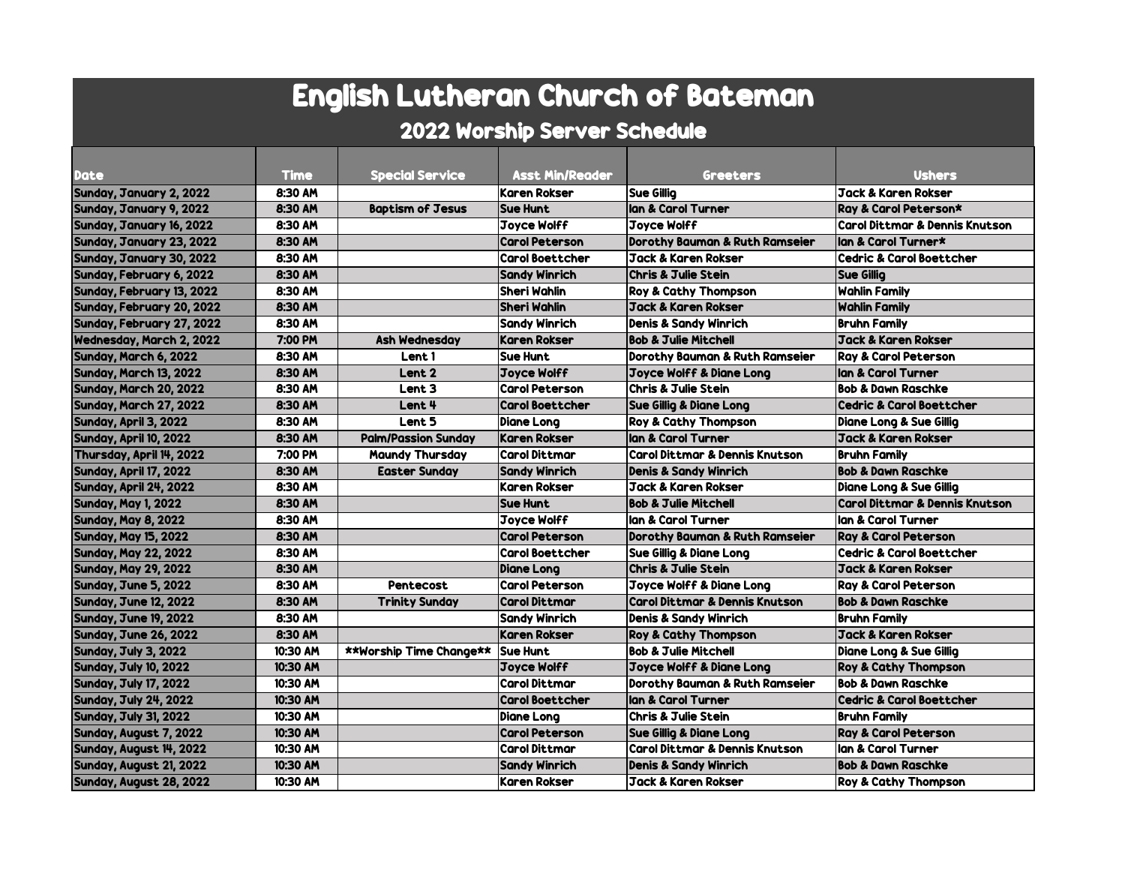# English Lutheran Church of Bateman

## 2022 Worship Server Schedule

| <b>Jack &amp; Karen Rokser</b><br>Sunday, January 2, 2022<br>8:30 AM<br><b>Karen Rokser</b><br><b>Sue Gillia</b><br>8:30 AM<br><b>Baptism of Jesus</b><br>lan & Carol Turner<br>Ray & Carol Peterson*<br>Sunday, January 9, 2022<br><b>Sue Hunt</b><br>8:30 AM<br><b>Carol Dittmar &amp; Dennis Knutson</b><br><b>Joyce Wolff</b><br><b>Joyce Wolff</b><br>Sunday, January 16, 2022<br>Sunday, January 23, 2022<br>8:30 AM<br><b>Carol Peterson</b><br>Dorothy Bauman & Ruth Ramseier<br>lan & Carol Turner*<br>8:30 AM<br><b>Carol Boettcher</b><br><b>Jack &amp; Karen Rokser</b><br><b>Cedric &amp; Carol Boettcher</b><br>Sunday, January 30, 2022<br>8:30 AM<br><b>Sandy Winrich</b><br><b>Chris &amp; Julie Stein</b><br><b>Sue Gillig</b><br>8:30 AM<br>Sheri Wahlin<br><b>Wahlin Family</b><br>Roy & Cathy Thompson<br>8:30 AM<br>Sheri Wahlin<br><b>Wahlin Family</b><br>Jack & Karen Rokser<br>8:30 AM<br>Denis & Sandy Winrich<br>Bruhn Family<br>Sandy Winrich<br>Jack & Karen Rokser<br>7:00 PM<br><b>Ash Wednesday</b><br><b>Karen Rokser</b><br><b>Bob &amp; Julie Mitchell</b><br>8:30 AM<br><b>Sue Hunt</b><br><b>Ray &amp; Carol Peterson</b><br>Lent 1<br>Dorothy Bauman & Ruth Ramseier<br>8:30 AM<br>Lent <sub>2</sub><br><b>Joyce Wolff</b><br>Joyce Wolff & Diane Long<br>lan & Carol Turner<br>8:30 AM<br>Lent <sub>3</sub><br><b>Carol Peterson</b><br><b>Chris &amp; Julie Stein</b><br><b>Bob &amp; Dawn Raschke</b><br>8:30 AM<br>Lent 4<br><b>Carol Boettcher</b><br><b>Sue Gillig &amp; Diane Long</b><br><b>Cedric &amp; Carol Boettcher</b><br>8:30 AM<br>Lent 5<br><b>Roy &amp; Cathy Thompson</b><br>Diane Long<br>Diane Long & Sue Gillig<br>Jack & Karen Rokser<br>8:30 AM<br><b>Palm/Passion Sunday</b><br><b>Karen Rokser</b><br>lan & Carol Turner<br><b>Carol Dittmar</b><br><b>Carol Dittmar &amp; Dennis Knutson</b><br>7:00 PM<br><b>Maundy Thursday</b><br>Bruhn Family<br>8:30 AM<br><b>Easter Sunday</b><br><b>Sandy Winrich</b><br><b>Denis &amp; Sandy Winrich</b><br><b>Bob &amp; Dawn Raschke</b><br>8:30 AM<br><b>Karen Rokser</b><br>Jack & Karen Rokser<br>Diane Long & Sue Gillig<br><b>Carol Dittmar &amp; Dennis Knutson</b><br>8:30 AM<br><b>Sue Hunt</b><br><b>Bob &amp; Julie Mitchell</b><br>8:30 AM<br><b>Joyce Wolff</b><br>lan & Carol Turner<br>lan & Carol Turner<br>8:30 AM<br>Dorothy Bauman & Ruth Ramseier<br><b>Carol Peterson</b><br><b>Ray &amp; Carol Peterson</b><br><b>Carol Boettcher</b><br><b>Cedric &amp; Carol Boettcher</b><br>8:30 AM<br>Sue Gillig & Diane Long<br>8:30 AM<br><b>Chris &amp; Julie Stein</b><br><b>Diane Long</b><br>Jack & Karen Rokser<br>8:30 AM<br><b>Carol Peterson</b><br><b>Pentecost</b><br><b>Joyce Wolff &amp; Diane Long</b><br><b>Ray &amp; Carol Peterson</b><br><b>Carol Dittmar &amp; Dennis Knutson</b><br><b>Bob &amp; Dawn Raschke</b><br>8:30 AM<br><b>Carol Dittmar</b><br><b>Trinity Sunday</b><br>8:30 AM<br>Sandy Winrich<br>Denis & Sandy Winrich<br><b>Bruhn Family</b><br>8:30 AM<br><b>Karen Rokser</b><br><b>Jack &amp; Karen Rokser</b><br>Roy & Cathy Thompson<br>10:30 AM<br><b>**Worship Time Change**</b><br><b>Sue Hunt</b><br><b>Bob &amp; Julie Mitchell</b><br>Diane Long & Sue Gillig<br>10:30 AM<br><b>Joyce Wolff</b><br><b>Joyce Wolff &amp; Diane Long</b><br>Roy & Cathy Thompson<br>10:30 AM<br><b>Carol Dittmar</b><br><b>Bob &amp; Dawn Raschke</b><br>Dorothy Bauman & Ruth Ramseier<br>10:30 AM<br><b>Carol Boettcher</b><br>llan & Carol Turner<br><b>Cedric &amp; Carol Boettcher</b><br><b>Chris &amp; Julie Stein</b><br>10:30 AM<br><b>Diane Long</b><br>Bruhn Family<br>10:30 AM<br><b>Carol Peterson</b><br><b>Sue Gillig &amp; Diane Long</b><br><b>Ray &amp; Carol Peterson</b><br><b>Carol Dittmar</b><br><b>Carol Dittmar &amp; Dennis Knutson</b><br>lan & Carol Turner<br>10:30 AM |                                 |             |                        |                        |          |               |
|----------------------------------------------------------------------------------------------------------------------------------------------------------------------------------------------------------------------------------------------------------------------------------------------------------------------------------------------------------------------------------------------------------------------------------------------------------------------------------------------------------------------------------------------------------------------------------------------------------------------------------------------------------------------------------------------------------------------------------------------------------------------------------------------------------------------------------------------------------------------------------------------------------------------------------------------------------------------------------------------------------------------------------------------------------------------------------------------------------------------------------------------------------------------------------------------------------------------------------------------------------------------------------------------------------------------------------------------------------------------------------------------------------------------------------------------------------------------------------------------------------------------------------------------------------------------------------------------------------------------------------------------------------------------------------------------------------------------------------------------------------------------------------------------------------------------------------------------------------------------------------------------------------------------------------------------------------------------------------------------------------------------------------------------------------------------------------------------------------------------------------------------------------------------------------------------------------------------------------------------------------------------------------------------------------------------------------------------------------------------------------------------------------------------------------------------------------------------------------------------------------------------------------------------------------------------------------------------------------------------------------------------------------------------------------------------------------------------------------------------------------------------------------------------------------------------------------------------------------------------------------------------------------------------------------------------------------------------------------------------------------------------------------------------------------------------------------------------------------------------------------------------------------------------------------------------------------------------------------------------------------------------------------------------------------------------------------------------------------------------------------------------------------------------------------------------------------------------------------------------------------------------------------------------------------------------------------------------------------------------------------------------------------------------------------------------------------------------------------------------------------------------------------------------------------------------------------------------------|---------------------------------|-------------|------------------------|------------------------|----------|---------------|
|                                                                                                                                                                                                                                                                                                                                                                                                                                                                                                                                                                                                                                                                                                                                                                                                                                                                                                                                                                                                                                                                                                                                                                                                                                                                                                                                                                                                                                                                                                                                                                                                                                                                                                                                                                                                                                                                                                                                                                                                                                                                                                                                                                                                                                                                                                                                                                                                                                                                                                                                                                                                                                                                                                                                                                                                                                                                                                                                                                                                                                                                                                                                                                                                                                                                                                                                                                                                                                                                                                                                                                                                                                                                                                                                                                                                                                                    | <b>Date</b>                     | <b>Time</b> | <b>Special Service</b> | <b>Asst Min/Reader</b> | Greeters | <b>Ushers</b> |
|                                                                                                                                                                                                                                                                                                                                                                                                                                                                                                                                                                                                                                                                                                                                                                                                                                                                                                                                                                                                                                                                                                                                                                                                                                                                                                                                                                                                                                                                                                                                                                                                                                                                                                                                                                                                                                                                                                                                                                                                                                                                                                                                                                                                                                                                                                                                                                                                                                                                                                                                                                                                                                                                                                                                                                                                                                                                                                                                                                                                                                                                                                                                                                                                                                                                                                                                                                                                                                                                                                                                                                                                                                                                                                                                                                                                                                                    |                                 |             |                        |                        |          |               |
|                                                                                                                                                                                                                                                                                                                                                                                                                                                                                                                                                                                                                                                                                                                                                                                                                                                                                                                                                                                                                                                                                                                                                                                                                                                                                                                                                                                                                                                                                                                                                                                                                                                                                                                                                                                                                                                                                                                                                                                                                                                                                                                                                                                                                                                                                                                                                                                                                                                                                                                                                                                                                                                                                                                                                                                                                                                                                                                                                                                                                                                                                                                                                                                                                                                                                                                                                                                                                                                                                                                                                                                                                                                                                                                                                                                                                                                    |                                 |             |                        |                        |          |               |
|                                                                                                                                                                                                                                                                                                                                                                                                                                                                                                                                                                                                                                                                                                                                                                                                                                                                                                                                                                                                                                                                                                                                                                                                                                                                                                                                                                                                                                                                                                                                                                                                                                                                                                                                                                                                                                                                                                                                                                                                                                                                                                                                                                                                                                                                                                                                                                                                                                                                                                                                                                                                                                                                                                                                                                                                                                                                                                                                                                                                                                                                                                                                                                                                                                                                                                                                                                                                                                                                                                                                                                                                                                                                                                                                                                                                                                                    |                                 |             |                        |                        |          |               |
|                                                                                                                                                                                                                                                                                                                                                                                                                                                                                                                                                                                                                                                                                                                                                                                                                                                                                                                                                                                                                                                                                                                                                                                                                                                                                                                                                                                                                                                                                                                                                                                                                                                                                                                                                                                                                                                                                                                                                                                                                                                                                                                                                                                                                                                                                                                                                                                                                                                                                                                                                                                                                                                                                                                                                                                                                                                                                                                                                                                                                                                                                                                                                                                                                                                                                                                                                                                                                                                                                                                                                                                                                                                                                                                                                                                                                                                    |                                 |             |                        |                        |          |               |
|                                                                                                                                                                                                                                                                                                                                                                                                                                                                                                                                                                                                                                                                                                                                                                                                                                                                                                                                                                                                                                                                                                                                                                                                                                                                                                                                                                                                                                                                                                                                                                                                                                                                                                                                                                                                                                                                                                                                                                                                                                                                                                                                                                                                                                                                                                                                                                                                                                                                                                                                                                                                                                                                                                                                                                                                                                                                                                                                                                                                                                                                                                                                                                                                                                                                                                                                                                                                                                                                                                                                                                                                                                                                                                                                                                                                                                                    |                                 |             |                        |                        |          |               |
|                                                                                                                                                                                                                                                                                                                                                                                                                                                                                                                                                                                                                                                                                                                                                                                                                                                                                                                                                                                                                                                                                                                                                                                                                                                                                                                                                                                                                                                                                                                                                                                                                                                                                                                                                                                                                                                                                                                                                                                                                                                                                                                                                                                                                                                                                                                                                                                                                                                                                                                                                                                                                                                                                                                                                                                                                                                                                                                                                                                                                                                                                                                                                                                                                                                                                                                                                                                                                                                                                                                                                                                                                                                                                                                                                                                                                                                    | Sunday, February 6, 2022        |             |                        |                        |          |               |
|                                                                                                                                                                                                                                                                                                                                                                                                                                                                                                                                                                                                                                                                                                                                                                                                                                                                                                                                                                                                                                                                                                                                                                                                                                                                                                                                                                                                                                                                                                                                                                                                                                                                                                                                                                                                                                                                                                                                                                                                                                                                                                                                                                                                                                                                                                                                                                                                                                                                                                                                                                                                                                                                                                                                                                                                                                                                                                                                                                                                                                                                                                                                                                                                                                                                                                                                                                                                                                                                                                                                                                                                                                                                                                                                                                                                                                                    | Sunday, February 13, 2022       |             |                        |                        |          |               |
|                                                                                                                                                                                                                                                                                                                                                                                                                                                                                                                                                                                                                                                                                                                                                                                                                                                                                                                                                                                                                                                                                                                                                                                                                                                                                                                                                                                                                                                                                                                                                                                                                                                                                                                                                                                                                                                                                                                                                                                                                                                                                                                                                                                                                                                                                                                                                                                                                                                                                                                                                                                                                                                                                                                                                                                                                                                                                                                                                                                                                                                                                                                                                                                                                                                                                                                                                                                                                                                                                                                                                                                                                                                                                                                                                                                                                                                    | Sunday, February 20, 2022       |             |                        |                        |          |               |
|                                                                                                                                                                                                                                                                                                                                                                                                                                                                                                                                                                                                                                                                                                                                                                                                                                                                                                                                                                                                                                                                                                                                                                                                                                                                                                                                                                                                                                                                                                                                                                                                                                                                                                                                                                                                                                                                                                                                                                                                                                                                                                                                                                                                                                                                                                                                                                                                                                                                                                                                                                                                                                                                                                                                                                                                                                                                                                                                                                                                                                                                                                                                                                                                                                                                                                                                                                                                                                                                                                                                                                                                                                                                                                                                                                                                                                                    | Sunday, February 27, 2022       |             |                        |                        |          |               |
|                                                                                                                                                                                                                                                                                                                                                                                                                                                                                                                                                                                                                                                                                                                                                                                                                                                                                                                                                                                                                                                                                                                                                                                                                                                                                                                                                                                                                                                                                                                                                                                                                                                                                                                                                                                                                                                                                                                                                                                                                                                                                                                                                                                                                                                                                                                                                                                                                                                                                                                                                                                                                                                                                                                                                                                                                                                                                                                                                                                                                                                                                                                                                                                                                                                                                                                                                                                                                                                                                                                                                                                                                                                                                                                                                                                                                                                    | <b>Wednesday, March 2, 2022</b> |             |                        |                        |          |               |
|                                                                                                                                                                                                                                                                                                                                                                                                                                                                                                                                                                                                                                                                                                                                                                                                                                                                                                                                                                                                                                                                                                                                                                                                                                                                                                                                                                                                                                                                                                                                                                                                                                                                                                                                                                                                                                                                                                                                                                                                                                                                                                                                                                                                                                                                                                                                                                                                                                                                                                                                                                                                                                                                                                                                                                                                                                                                                                                                                                                                                                                                                                                                                                                                                                                                                                                                                                                                                                                                                                                                                                                                                                                                                                                                                                                                                                                    | Sunday, March 6, 2022           |             |                        |                        |          |               |
|                                                                                                                                                                                                                                                                                                                                                                                                                                                                                                                                                                                                                                                                                                                                                                                                                                                                                                                                                                                                                                                                                                                                                                                                                                                                                                                                                                                                                                                                                                                                                                                                                                                                                                                                                                                                                                                                                                                                                                                                                                                                                                                                                                                                                                                                                                                                                                                                                                                                                                                                                                                                                                                                                                                                                                                                                                                                                                                                                                                                                                                                                                                                                                                                                                                                                                                                                                                                                                                                                                                                                                                                                                                                                                                                                                                                                                                    | Sunday, March 13, 2022          |             |                        |                        |          |               |
|                                                                                                                                                                                                                                                                                                                                                                                                                                                                                                                                                                                                                                                                                                                                                                                                                                                                                                                                                                                                                                                                                                                                                                                                                                                                                                                                                                                                                                                                                                                                                                                                                                                                                                                                                                                                                                                                                                                                                                                                                                                                                                                                                                                                                                                                                                                                                                                                                                                                                                                                                                                                                                                                                                                                                                                                                                                                                                                                                                                                                                                                                                                                                                                                                                                                                                                                                                                                                                                                                                                                                                                                                                                                                                                                                                                                                                                    | Sunday, March 20, 2022          |             |                        |                        |          |               |
|                                                                                                                                                                                                                                                                                                                                                                                                                                                                                                                                                                                                                                                                                                                                                                                                                                                                                                                                                                                                                                                                                                                                                                                                                                                                                                                                                                                                                                                                                                                                                                                                                                                                                                                                                                                                                                                                                                                                                                                                                                                                                                                                                                                                                                                                                                                                                                                                                                                                                                                                                                                                                                                                                                                                                                                                                                                                                                                                                                                                                                                                                                                                                                                                                                                                                                                                                                                                                                                                                                                                                                                                                                                                                                                                                                                                                                                    | Sunday, March 27, 2022          |             |                        |                        |          |               |
|                                                                                                                                                                                                                                                                                                                                                                                                                                                                                                                                                                                                                                                                                                                                                                                                                                                                                                                                                                                                                                                                                                                                                                                                                                                                                                                                                                                                                                                                                                                                                                                                                                                                                                                                                                                                                                                                                                                                                                                                                                                                                                                                                                                                                                                                                                                                                                                                                                                                                                                                                                                                                                                                                                                                                                                                                                                                                                                                                                                                                                                                                                                                                                                                                                                                                                                                                                                                                                                                                                                                                                                                                                                                                                                                                                                                                                                    | Sunday, April 3, 2022           |             |                        |                        |          |               |
|                                                                                                                                                                                                                                                                                                                                                                                                                                                                                                                                                                                                                                                                                                                                                                                                                                                                                                                                                                                                                                                                                                                                                                                                                                                                                                                                                                                                                                                                                                                                                                                                                                                                                                                                                                                                                                                                                                                                                                                                                                                                                                                                                                                                                                                                                                                                                                                                                                                                                                                                                                                                                                                                                                                                                                                                                                                                                                                                                                                                                                                                                                                                                                                                                                                                                                                                                                                                                                                                                                                                                                                                                                                                                                                                                                                                                                                    | Sunday, April 10, 2022          |             |                        |                        |          |               |
|                                                                                                                                                                                                                                                                                                                                                                                                                                                                                                                                                                                                                                                                                                                                                                                                                                                                                                                                                                                                                                                                                                                                                                                                                                                                                                                                                                                                                                                                                                                                                                                                                                                                                                                                                                                                                                                                                                                                                                                                                                                                                                                                                                                                                                                                                                                                                                                                                                                                                                                                                                                                                                                                                                                                                                                                                                                                                                                                                                                                                                                                                                                                                                                                                                                                                                                                                                                                                                                                                                                                                                                                                                                                                                                                                                                                                                                    | Thursday, April 14, 2022        |             |                        |                        |          |               |
|                                                                                                                                                                                                                                                                                                                                                                                                                                                                                                                                                                                                                                                                                                                                                                                                                                                                                                                                                                                                                                                                                                                                                                                                                                                                                                                                                                                                                                                                                                                                                                                                                                                                                                                                                                                                                                                                                                                                                                                                                                                                                                                                                                                                                                                                                                                                                                                                                                                                                                                                                                                                                                                                                                                                                                                                                                                                                                                                                                                                                                                                                                                                                                                                                                                                                                                                                                                                                                                                                                                                                                                                                                                                                                                                                                                                                                                    | Sunday, April 17, 2022          |             |                        |                        |          |               |
|                                                                                                                                                                                                                                                                                                                                                                                                                                                                                                                                                                                                                                                                                                                                                                                                                                                                                                                                                                                                                                                                                                                                                                                                                                                                                                                                                                                                                                                                                                                                                                                                                                                                                                                                                                                                                                                                                                                                                                                                                                                                                                                                                                                                                                                                                                                                                                                                                                                                                                                                                                                                                                                                                                                                                                                                                                                                                                                                                                                                                                                                                                                                                                                                                                                                                                                                                                                                                                                                                                                                                                                                                                                                                                                                                                                                                                                    | Sunday, April 24, 2022          |             |                        |                        |          |               |
|                                                                                                                                                                                                                                                                                                                                                                                                                                                                                                                                                                                                                                                                                                                                                                                                                                                                                                                                                                                                                                                                                                                                                                                                                                                                                                                                                                                                                                                                                                                                                                                                                                                                                                                                                                                                                                                                                                                                                                                                                                                                                                                                                                                                                                                                                                                                                                                                                                                                                                                                                                                                                                                                                                                                                                                                                                                                                                                                                                                                                                                                                                                                                                                                                                                                                                                                                                                                                                                                                                                                                                                                                                                                                                                                                                                                                                                    | <b>Sunday, May 1, 2022</b>      |             |                        |                        |          |               |
|                                                                                                                                                                                                                                                                                                                                                                                                                                                                                                                                                                                                                                                                                                                                                                                                                                                                                                                                                                                                                                                                                                                                                                                                                                                                                                                                                                                                                                                                                                                                                                                                                                                                                                                                                                                                                                                                                                                                                                                                                                                                                                                                                                                                                                                                                                                                                                                                                                                                                                                                                                                                                                                                                                                                                                                                                                                                                                                                                                                                                                                                                                                                                                                                                                                                                                                                                                                                                                                                                                                                                                                                                                                                                                                                                                                                                                                    | <b>Sunday, May 8, 2022</b>      |             |                        |                        |          |               |
|                                                                                                                                                                                                                                                                                                                                                                                                                                                                                                                                                                                                                                                                                                                                                                                                                                                                                                                                                                                                                                                                                                                                                                                                                                                                                                                                                                                                                                                                                                                                                                                                                                                                                                                                                                                                                                                                                                                                                                                                                                                                                                                                                                                                                                                                                                                                                                                                                                                                                                                                                                                                                                                                                                                                                                                                                                                                                                                                                                                                                                                                                                                                                                                                                                                                                                                                                                                                                                                                                                                                                                                                                                                                                                                                                                                                                                                    | <b>Sunday, May 15, 2022</b>     |             |                        |                        |          |               |
|                                                                                                                                                                                                                                                                                                                                                                                                                                                                                                                                                                                                                                                                                                                                                                                                                                                                                                                                                                                                                                                                                                                                                                                                                                                                                                                                                                                                                                                                                                                                                                                                                                                                                                                                                                                                                                                                                                                                                                                                                                                                                                                                                                                                                                                                                                                                                                                                                                                                                                                                                                                                                                                                                                                                                                                                                                                                                                                                                                                                                                                                                                                                                                                                                                                                                                                                                                                                                                                                                                                                                                                                                                                                                                                                                                                                                                                    | <b>Sunday, May 22, 2022</b>     |             |                        |                        |          |               |
|                                                                                                                                                                                                                                                                                                                                                                                                                                                                                                                                                                                                                                                                                                                                                                                                                                                                                                                                                                                                                                                                                                                                                                                                                                                                                                                                                                                                                                                                                                                                                                                                                                                                                                                                                                                                                                                                                                                                                                                                                                                                                                                                                                                                                                                                                                                                                                                                                                                                                                                                                                                                                                                                                                                                                                                                                                                                                                                                                                                                                                                                                                                                                                                                                                                                                                                                                                                                                                                                                                                                                                                                                                                                                                                                                                                                                                                    | <b>Sunday, May 29, 2022</b>     |             |                        |                        |          |               |
|                                                                                                                                                                                                                                                                                                                                                                                                                                                                                                                                                                                                                                                                                                                                                                                                                                                                                                                                                                                                                                                                                                                                                                                                                                                                                                                                                                                                                                                                                                                                                                                                                                                                                                                                                                                                                                                                                                                                                                                                                                                                                                                                                                                                                                                                                                                                                                                                                                                                                                                                                                                                                                                                                                                                                                                                                                                                                                                                                                                                                                                                                                                                                                                                                                                                                                                                                                                                                                                                                                                                                                                                                                                                                                                                                                                                                                                    | Sunday, June 5, 2022            |             |                        |                        |          |               |
|                                                                                                                                                                                                                                                                                                                                                                                                                                                                                                                                                                                                                                                                                                                                                                                                                                                                                                                                                                                                                                                                                                                                                                                                                                                                                                                                                                                                                                                                                                                                                                                                                                                                                                                                                                                                                                                                                                                                                                                                                                                                                                                                                                                                                                                                                                                                                                                                                                                                                                                                                                                                                                                                                                                                                                                                                                                                                                                                                                                                                                                                                                                                                                                                                                                                                                                                                                                                                                                                                                                                                                                                                                                                                                                                                                                                                                                    | <b>Sunday, June 12, 2022</b>    |             |                        |                        |          |               |
|                                                                                                                                                                                                                                                                                                                                                                                                                                                                                                                                                                                                                                                                                                                                                                                                                                                                                                                                                                                                                                                                                                                                                                                                                                                                                                                                                                                                                                                                                                                                                                                                                                                                                                                                                                                                                                                                                                                                                                                                                                                                                                                                                                                                                                                                                                                                                                                                                                                                                                                                                                                                                                                                                                                                                                                                                                                                                                                                                                                                                                                                                                                                                                                                                                                                                                                                                                                                                                                                                                                                                                                                                                                                                                                                                                                                                                                    | <b>Sunday, June 19, 2022</b>    |             |                        |                        |          |               |
|                                                                                                                                                                                                                                                                                                                                                                                                                                                                                                                                                                                                                                                                                                                                                                                                                                                                                                                                                                                                                                                                                                                                                                                                                                                                                                                                                                                                                                                                                                                                                                                                                                                                                                                                                                                                                                                                                                                                                                                                                                                                                                                                                                                                                                                                                                                                                                                                                                                                                                                                                                                                                                                                                                                                                                                                                                                                                                                                                                                                                                                                                                                                                                                                                                                                                                                                                                                                                                                                                                                                                                                                                                                                                                                                                                                                                                                    | <b>Sunday, June 26, 2022</b>    |             |                        |                        |          |               |
|                                                                                                                                                                                                                                                                                                                                                                                                                                                                                                                                                                                                                                                                                                                                                                                                                                                                                                                                                                                                                                                                                                                                                                                                                                                                                                                                                                                                                                                                                                                                                                                                                                                                                                                                                                                                                                                                                                                                                                                                                                                                                                                                                                                                                                                                                                                                                                                                                                                                                                                                                                                                                                                                                                                                                                                                                                                                                                                                                                                                                                                                                                                                                                                                                                                                                                                                                                                                                                                                                                                                                                                                                                                                                                                                                                                                                                                    | <b>Sunday, July 3, 2022</b>     |             |                        |                        |          |               |
|                                                                                                                                                                                                                                                                                                                                                                                                                                                                                                                                                                                                                                                                                                                                                                                                                                                                                                                                                                                                                                                                                                                                                                                                                                                                                                                                                                                                                                                                                                                                                                                                                                                                                                                                                                                                                                                                                                                                                                                                                                                                                                                                                                                                                                                                                                                                                                                                                                                                                                                                                                                                                                                                                                                                                                                                                                                                                                                                                                                                                                                                                                                                                                                                                                                                                                                                                                                                                                                                                                                                                                                                                                                                                                                                                                                                                                                    | <b>Sunday, July 10, 2022</b>    |             |                        |                        |          |               |
|                                                                                                                                                                                                                                                                                                                                                                                                                                                                                                                                                                                                                                                                                                                                                                                                                                                                                                                                                                                                                                                                                                                                                                                                                                                                                                                                                                                                                                                                                                                                                                                                                                                                                                                                                                                                                                                                                                                                                                                                                                                                                                                                                                                                                                                                                                                                                                                                                                                                                                                                                                                                                                                                                                                                                                                                                                                                                                                                                                                                                                                                                                                                                                                                                                                                                                                                                                                                                                                                                                                                                                                                                                                                                                                                                                                                                                                    | <b>Sunday, July 17, 2022</b>    |             |                        |                        |          |               |
|                                                                                                                                                                                                                                                                                                                                                                                                                                                                                                                                                                                                                                                                                                                                                                                                                                                                                                                                                                                                                                                                                                                                                                                                                                                                                                                                                                                                                                                                                                                                                                                                                                                                                                                                                                                                                                                                                                                                                                                                                                                                                                                                                                                                                                                                                                                                                                                                                                                                                                                                                                                                                                                                                                                                                                                                                                                                                                                                                                                                                                                                                                                                                                                                                                                                                                                                                                                                                                                                                                                                                                                                                                                                                                                                                                                                                                                    | <b>Sunday, July 24, 2022</b>    |             |                        |                        |          |               |
|                                                                                                                                                                                                                                                                                                                                                                                                                                                                                                                                                                                                                                                                                                                                                                                                                                                                                                                                                                                                                                                                                                                                                                                                                                                                                                                                                                                                                                                                                                                                                                                                                                                                                                                                                                                                                                                                                                                                                                                                                                                                                                                                                                                                                                                                                                                                                                                                                                                                                                                                                                                                                                                                                                                                                                                                                                                                                                                                                                                                                                                                                                                                                                                                                                                                                                                                                                                                                                                                                                                                                                                                                                                                                                                                                                                                                                                    | <b>Sunday, July 31, 2022</b>    |             |                        |                        |          |               |
|                                                                                                                                                                                                                                                                                                                                                                                                                                                                                                                                                                                                                                                                                                                                                                                                                                                                                                                                                                                                                                                                                                                                                                                                                                                                                                                                                                                                                                                                                                                                                                                                                                                                                                                                                                                                                                                                                                                                                                                                                                                                                                                                                                                                                                                                                                                                                                                                                                                                                                                                                                                                                                                                                                                                                                                                                                                                                                                                                                                                                                                                                                                                                                                                                                                                                                                                                                                                                                                                                                                                                                                                                                                                                                                                                                                                                                                    | Sunday, August 7, 2022          |             |                        |                        |          |               |
|                                                                                                                                                                                                                                                                                                                                                                                                                                                                                                                                                                                                                                                                                                                                                                                                                                                                                                                                                                                                                                                                                                                                                                                                                                                                                                                                                                                                                                                                                                                                                                                                                                                                                                                                                                                                                                                                                                                                                                                                                                                                                                                                                                                                                                                                                                                                                                                                                                                                                                                                                                                                                                                                                                                                                                                                                                                                                                                                                                                                                                                                                                                                                                                                                                                                                                                                                                                                                                                                                                                                                                                                                                                                                                                                                                                                                                                    | Sunday, August 14, 2022         |             |                        |                        |          |               |
| 10:30 AM<br><b>Sandy Winrich</b><br><b>Denis &amp; Sandy Winrich</b><br><b>Bob &amp; Dawn Raschke</b>                                                                                                                                                                                                                                                                                                                                                                                                                                                                                                                                                                                                                                                                                                                                                                                                                                                                                                                                                                                                                                                                                                                                                                                                                                                                                                                                                                                                                                                                                                                                                                                                                                                                                                                                                                                                                                                                                                                                                                                                                                                                                                                                                                                                                                                                                                                                                                                                                                                                                                                                                                                                                                                                                                                                                                                                                                                                                                                                                                                                                                                                                                                                                                                                                                                                                                                                                                                                                                                                                                                                                                                                                                                                                                                                              | Sunday, August 21, 2022         |             |                        |                        |          |               |
| 10:30 AM<br><b>Karen Rokser</b><br><b>Jack &amp; Karen Rokser</b><br>Roy & Cathy Thompson                                                                                                                                                                                                                                                                                                                                                                                                                                                                                                                                                                                                                                                                                                                                                                                                                                                                                                                                                                                                                                                                                                                                                                                                                                                                                                                                                                                                                                                                                                                                                                                                                                                                                                                                                                                                                                                                                                                                                                                                                                                                                                                                                                                                                                                                                                                                                                                                                                                                                                                                                                                                                                                                                                                                                                                                                                                                                                                                                                                                                                                                                                                                                                                                                                                                                                                                                                                                                                                                                                                                                                                                                                                                                                                                                          | Sunday, August 28, 2022         |             |                        |                        |          |               |